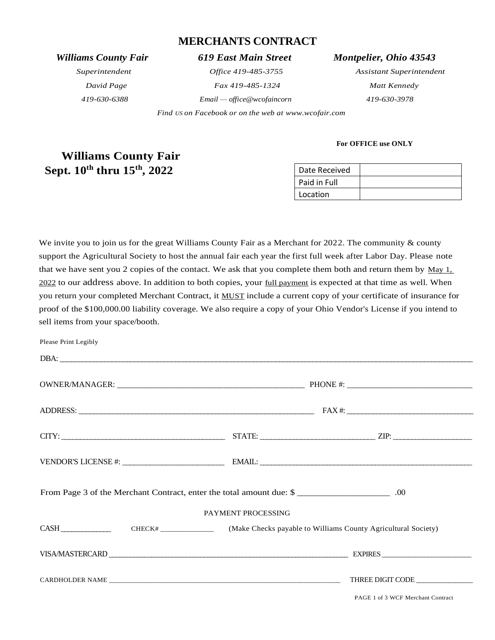# **MERCHANTS CONTRACT**

*419-630-6388 Email — office@wcofaincorn 419-630-3978*

 *Find US on Facebook or on the web at [www.wcofair.com](http://www.wcofair.com/)*

*Williams County Fair 619 East Main Street Montpelier, Ohio 43543*

*Superintendent Office 419-485-3755 Assistant Superintendent David Page Fax 419-485-1324 Matt Kennedy*

# **Williams County Fair**  Sept.  $10^{\text{th}}$  thru  $15^{\text{th}}$ ,  $2022$  Date Received

| Date Received |  |
|---------------|--|
| Paid in Full  |  |
| Location      |  |

**For OFFICE use ONLY**

We invite you to join us for the great Williams County Fair as a Merchant for 2022. The community & county support the Agricultural Society to host the annual fair each year the first full week after Labor Day. Please note that we have sent you 2 copies of the contact. We ask that you complete them both and return them by  $\frac{May \, 1}{\frac{1}{2}}$ 2022 to our address above. In addition to both copies, your full payment is expected at that time as well. When you return your completed Merchant Contract, it MUST include a current copy of your certificate of insurance for proof of the \$100,000.00 liability coverage. We also require a copy of your Ohio Vendor's License if you intend to sell items from your space/booth.

| Please Print Legibly                                                                  |                    |                                   |
|---------------------------------------------------------------------------------------|--------------------|-----------------------------------|
|                                                                                       |                    |                                   |
|                                                                                       |                    |                                   |
|                                                                                       |                    |                                   |
| $CTTY:$ $ZIP:$ $ZIP:$ $ZIP:$ $ZIP:$                                                   |                    |                                   |
|                                                                                       |                    |                                   |
| From Page 3 of the Merchant Contract, enter the total amount due: \$                  |                    |                                   |
|                                                                                       | PAYMENT PROCESSING |                                   |
| CASH CASH CHECK# CHECK# (Make Checks payable to Williams County Agricultural Society) |                    |                                   |
|                                                                                       |                    |                                   |
|                                                                                       |                    |                                   |
|                                                                                       |                    | PAGE 1 of 3 WCF Merchant Contract |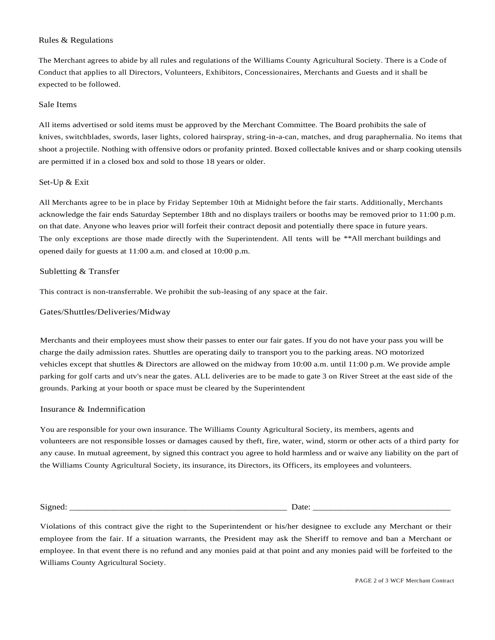#### Rules & Regulations

The Merchant agrees to abide by all rules and regulations of the Williams County Agricultural Society. There is a Code of Conduct that applies to all Directors, Volunteers, Exhibitors, Concessionaires, Merchants and Guests and it shall be expected to be followed.

#### Sale Items

All items advertised or sold items must be approved by the Merchant Committee. The Board prohibits the sale of knives, switchblades, swords, laser lights, colored hairspray, string-in-a-can, matches, and drug paraphernalia. No items that shoot a projectile. Nothing with offensive odors or profanity printed. Boxed collectable knives and or sharp cooking utensils are permitted if in a closed box and sold to those 18 years or older.

### Set-Up & Exit

All Merchants agree to be in place by Friday September 10th at Midnight before the fair starts. Additionally, Merchants acknowledge the fair ends Saturday September 18th and no displays trailers or booths may be removed prior to 11:00 p.m. on that date. Anyone who leaves prior will forfeit their contract deposit and potentially there space in future years. The only exceptions are those made directly with the Superintendent. All tents will be \*\*All merchant buildings and opened daily for guests at 11:00 a.m. and closed at 10:00 p.m.

#### Subletting & Transfer

This contract is non-transferrable. We prohibit the sub-leasing of any space at the fair.

#### Gates/Shuttles/Deliveries/Midway

Merchants and their employees must show their passes to enter our fair gates. If you do not have your pass you will be charge the daily admission rates. Shuttles are operating daily to transport you to the parking areas. NO motorized vehicles except that shuttles & Directors are allowed on the midway from 10:00 a.m. until 11:00 p.m. We provide ample parking for golf carts and utv's near the gates. ALL deliveries are to be made to gate 3 on River Street at the east side of the grounds. Parking at your booth or space must be cleared by the Superintendent

#### Insurance & Indemnification

You are responsible for your own insurance. The Williams County Agricultural Society, its members, agents and volunteers are not responsible losses or damages caused by theft, fire, water, wind, storm or other acts of a third party for any cause. In mutual agreement, by signed this contract you agree to hold harmless and or waive any liability on the part of the Williams County Agricultural Society, its insurance, its Directors, its Officers, its employees and volunteers.

Signed: \_\_\_\_\_\_\_\_\_\_\_\_\_\_\_\_\_\_\_\_\_\_\_\_\_\_\_\_\_\_\_\_\_\_\_\_\_\_\_\_\_\_\_\_\_\_\_\_\_ Date: \_\_\_\_\_\_\_\_\_\_\_\_\_\_\_\_\_\_\_\_\_\_\_\_\_\_\_\_\_\_\_

Violations of this contract give the right to the Superintendent or his/her designee to exclude any Merchant or their employee from the fair. If a situation warrants, the President may ask the Sheriff to remove and ban a Merchant or employee. In that event there is no refund and any monies paid at that point and any monies paid will be forfeited to the Williams County Agricultural Society.